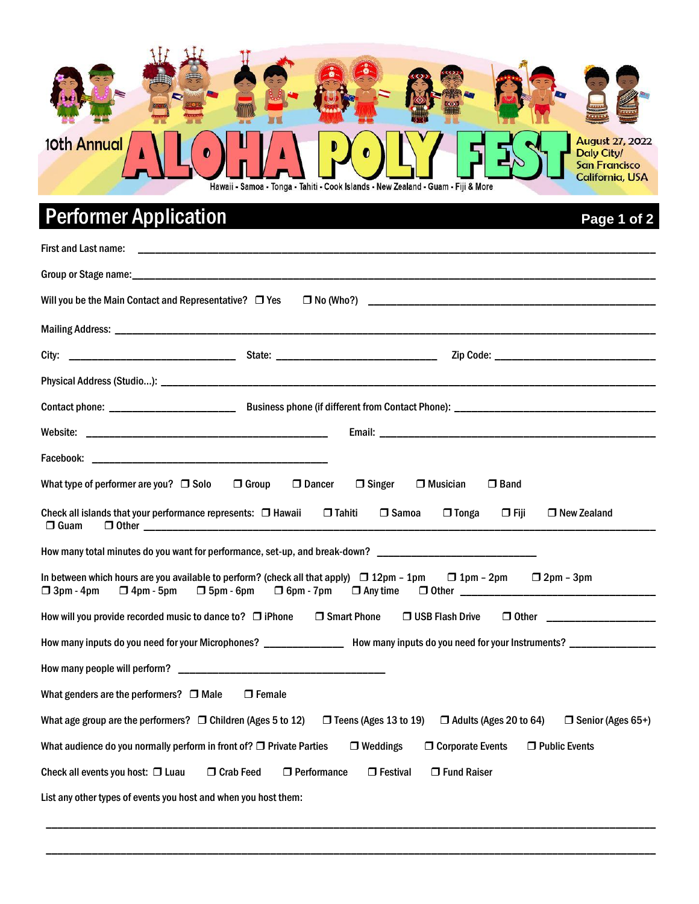

# Performer Application **Performer Application**

| First and Last name:                                                                                                                                                                                                                                               |
|--------------------------------------------------------------------------------------------------------------------------------------------------------------------------------------------------------------------------------------------------------------------|
|                                                                                                                                                                                                                                                                    |
| Will you be the Main Contact and Representative?  T Yes                                                                                                                                                                                                            |
|                                                                                                                                                                                                                                                                    |
|                                                                                                                                                                                                                                                                    |
|                                                                                                                                                                                                                                                                    |
|                                                                                                                                                                                                                                                                    |
|                                                                                                                                                                                                                                                                    |
|                                                                                                                                                                                                                                                                    |
| What type of performer are you? $\Box$ Solo<br>Dancer<br>$\Box$ Band<br>$\Box$ Group<br>$\Box$ Singer<br>$\Box$ Musician                                                                                                                                           |
| Check all islands that your performance represents: $\Box$ Hawaii<br>$\Box$ Tahiti<br>$\Box$ Samoa<br>$\Box$ Tonga<br>$\Box$ Fiji<br>$\Box$ New Zealand<br>$\Box$ Guam                                                                                             |
| How many total minutes do you want for performance, set-up, and break-down? __________________________________                                                                                                                                                     |
| In between which hours are you available to perform? (check all that apply) $\Box$ 12pm - 1pm<br>$\Box$ 1pm - 2pm $\Box$ 2pm - 3pm<br>$\Box$ 4pm - 5pm<br>□ Other <u>__________</u><br>$\Box$ 3pm - 4pm<br>$\Box$ 5pm - 6pm<br>$\Box$ 6pm - 7pm<br>$\Box$ Any time |
| How will you provide recorded music to dance to? $\Box$ iPhone $\Box$ Smart Phone<br>$\Box$ USB Flash Drive<br>$\Box$ Other $\Box$                                                                                                                                 |
| How many inputs do you need for your Microphones? ____________________How many inputs do you need for your Instruments? _______________                                                                                                                            |
|                                                                                                                                                                                                                                                                    |
| What genders are the performers? $\Box$ Male<br>$\Box$ Female                                                                                                                                                                                                      |
| What age group are the performers? $\Box$ Children (Ages 5 to 12)<br>$\Box$ Teens (Ages 13 to 19)<br>$\Box$ Adults (Ages 20 to 64)<br>$\Box$ Senior (Ages 65+)                                                                                                     |
| What audience do you normally perform in front of? $\Box$ Private Parties<br>Public Events<br>$\Box$ Weddings<br>□ Corporate Events                                                                                                                                |
| Check all events you host: $\Box$ Luau<br>□ Crab Feed<br>$\Box$ Performance<br>$\Box$ Festival<br>$\Box$ Fund Raiser                                                                                                                                               |
| List any other types of events you host and when you host them:                                                                                                                                                                                                    |

\_\_\_\_\_\_\_\_\_\_\_\_\_\_\_\_\_\_\_\_\_\_\_\_\_\_\_\_\_\_\_\_\_\_\_\_\_\_\_\_\_\_\_\_\_\_\_\_\_\_\_\_\_\_\_\_\_\_\_\_\_\_\_\_\_\_\_\_\_\_\_\_\_\_\_\_\_\_\_\_\_\_\_\_\_\_\_\_\_\_\_\_\_\_\_\_\_\_\_\_\_\_\_\_\_\_

\_\_\_\_\_\_\_\_\_\_\_\_\_\_\_\_\_\_\_\_\_\_\_\_\_\_\_\_\_\_\_\_\_\_\_\_\_\_\_\_\_\_\_\_\_\_\_\_\_\_\_\_\_\_\_\_\_\_\_\_\_\_\_\_\_\_\_\_\_\_\_\_\_\_\_\_\_\_\_\_\_\_\_\_\_\_\_\_\_\_\_\_\_\_\_\_\_\_\_\_\_\_\_\_\_\_